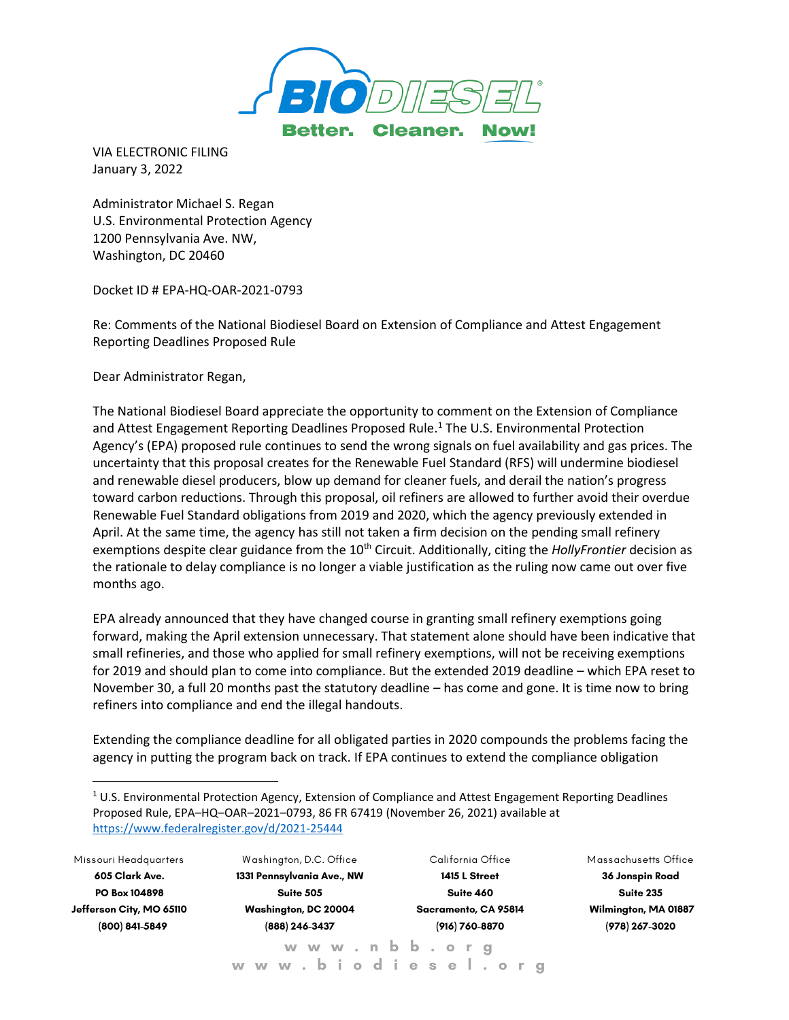

VIA ELECTRONIC FILING January 3, 2022

Administrator Michael S. Regan U.S. Environmental Protection Agency 1200 Pennsylvania Ave. NW, Washington, DC 20460

Docket ID # EPA-HQ-OAR-2021-0793

Re: Comments of the National Biodiesel Board on Extension of Compliance and Attest Engagement Reporting Deadlines Proposed Rule

Dear Administrator Regan,

The National Biodiesel Board appreciate the opportunity to comment on the Extension of Compliance and Attest Engagement Reporting Deadlines Proposed Rule.<sup>1</sup> The U.S. Environmental Protection Agency's (EPA) proposed rule continues to send the wrong signals on fuel availability and gas prices. The uncertainty that this proposal creates for the Renewable Fuel Standard (RFS) will undermine biodiesel and renewable diesel producers, blow up demand for cleaner fuels, and derail the nation's progress toward carbon reductions. Through this proposal, oil refiners are allowed to further avoid their overdue Renewable Fuel Standard obligations from 2019 and 2020, which the agency previously extended in April. At the same time, the agency has still not taken a firm decision on the pending small refinery exemptions despite clear guidance from the 10<sup>th</sup> Circuit. Additionally, citing the *HollyFrontier* decision as the rationale to delay compliance is no longer a viable justification as the ruling now came out over five months ago.

EPA already announced that they have changed course in granting small refinery exemptions going forward, making the April extension unnecessary. That statement alone should have been indicative that small refineries, and those who applied for small refinery exemptions, will not be receiving exemptions for 2019 and should plan to come into compliance. But the extended 2019 deadline – which EPA reset to November 30, a full 20 months past the statutory deadline – has come and gone. It is time now to bring refiners into compliance and end the illegal handouts.

Extending the compliance deadline for all obligated parties in 2020 compounds the problems facing the agency in putting the program back on track. If EPA continues to extend the compliance obligation

**Missouri Headquarters 605 Clark Ave. PO Box 104898 Jefferson City, MO 65110 (800) 841-5849**

**W ashington, D.C. Office 1331 Pennsylvania Ave., NW Suite 505 Washington, DC 20004 (888) 246-3437 w w w . n b b . o r g** 

**California Office 1415 L Street Suite 460 Sacramento, CA 95814 (916) 760-8870**

**Massachusetts Office 36 Jonspin Road Suite 235 Wilmington, MA 01887 (978) 267-3020**

 $1$  U.S. Environmental Protection Agency, Extension of Compliance and Attest Engagement Reporting Deadlines Proposed Rule, EPA–HQ–OAR–2021–0793, 86 FR 67419 (November 26, 2021) available at <https://www.federalregister.gov/d/2021-25444>